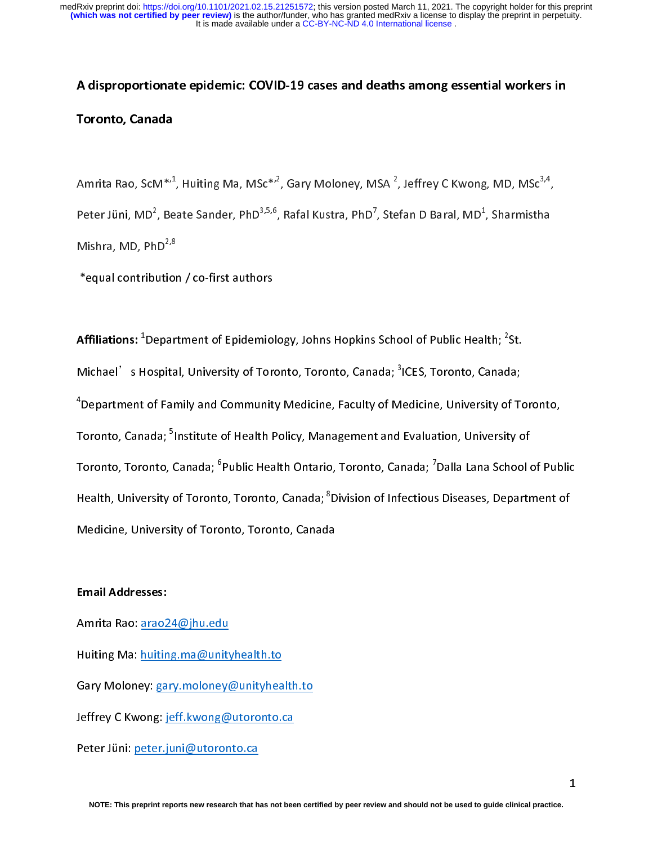## $\begin{array}{c} \n\frac{1}{2} \quad \text{and} \quad \frac{1}{2} \quad \text{and} \quad \frac{1}{2} \quad \text{and} \quad \frac{1}{2} \quad \text{and} \quad \frac{1}{2} \quad \text{and} \quad \frac{1}{2} \quad \text{and} \quad \frac{1}{2} \quad \text{and} \quad \frac{1}{2} \quad \text{and} \quad \frac{1}{2} \quad \text{and} \quad \frac{1}{2} \quad \text{and} \quad \frac{1}{2} \quad \text{and} \quad \frac{1}{2} \quad \text{and} \quad \frac{1}{2} \quad \text{and} \quad \frac{$ A disproportionate epidemic: COVID-19 cases and deaths among essential workers in Toronto, Canada

Amrita Rao, ScM\*'<sup>-</sup>, Huiting Ma, MSc\*'<sup>-</sup>, Gary Moloney, MSA <sup>2</sup>, Jeffrey C Kwong, MD, MSc<sup>2, 2</sup>,<br>Peter Jüni, MD<sup>2</sup>, Beate Sander, PhD<sup>3,5,6</sup>, Rafal Kustra, PhD<sup>7</sup>, Stefan D Baral, MD<sup>1</sup>, Sharmistha<br>Mishra, MD, PhD<sup>2,8</sup><br>\* Peter Jüni, MD<sup>2</sup><br>Mishra, MD, Ph<br>\*equal contribu<br>**Affiliations:** <sup>1</sup>De , Beate Sander, PhD<sup>3,3,8</sup>, Rafal Kustra, PhD<sup>2</sup>,<br>D<sup>2,8</sup><br>ution / co-first authors<br>partment of Epidemiology, Johns Hopkins , Stefan D Baral, MD<sup>+</sup><br>School of Public Hea , sharming<br>th:  $\mathrm{^{2}St.}$ 

Mishra, MD, PhD<sup>2,9</sup><br>\*equal contributior<br>**Affiliations: <sup>1</sup>Depart<br>Michael's Hospita** Affiliations: <sup>1</sup>Department of Epidemiol<br>Michael's Hospital, University of Tore<br><sup>4</sup>Department of Eamily and Community Affiliations: "Department of Epidemiology, Johns Hopkins School of Public Health; "<br>Michael's Hospital, University of Toronto, Toronto, Canada; <sup>3</sup>ICES, Toronto, Canad<br><sup>4</sup>Department of Family and Community Medicine, Facult **Affiliations:** <sup>1</sup>Department of Epidemiology, Johns Hopkins School of Public Health; <sup>2</sup>St. la;<br>f Tc<br>!V o Michael' s Hospital, University of Toronto, Toronto, Canada; "ICES, Toronto, Canada;<br>"Department of Family and Community Medicine, Faculty of Medicine, University of Toronto, Canada; <sup>5</sup>Institute of Health Policy, Manageme <sup>4</sup> Department of Family and Community Medicine, Faculty of Medicine, University of Toronto, Department of Family and Coronto, Canada; <sup>5</sup>Institute of Health Policy, Management and Evaluation, University of Coronto, Toronto, Canada; <sup>6</sup>Public Health Ontario, Toronto, Canada; <sup>7</sup>Dalla Lana School of Pub<br>Health, Uni Toronto, Canada; °Institute of Health Policy, Management and Evaluation, University of<br>Toronto, Toronto, Canada; <sup>6</sup>Public Health Ontario, Toronto, Canada; <sup>7</sup>Dalla Lana School d<br>Health, University of Toronto, Toronto, Can Toronto, Toronto, Canada; °<br>Health, University of Toront<br>Medicine, University of Torc<br>Email Addresses: Public Health Ontario, Toronto, Canada; '<br>o, Toronto, Canada; <sup>8</sup>Division of Infectious<br>into, Toronto, Canada balla Diseases, Department of<br>Publican<br>India School of Publican<br>India Health, University of Toronto, Toronto, Canada; °Division of Infectious Diseases, Department of<br>Medicine, University of Toronto, Toronto, Canada<br>Email Addresses:<br>Amrita Rao: arao24@ihu.edu

#### Email Addresses:

Medicine, Jamachi, Jamachi, Versity, Toronto, Toronto, Toronto, Toronto, Toronto, Toronto, Toronto, Toronto, Toronto, Toronto, Toronto, Toronto, Toronto, Toronto, Toronto, Toronto, Toronto, Toronto, Toronto, Toronto, Toron  $\begin{array}{c} \n\text{I} \\
\text{I} \\
\text{I} \\
\text{I} \\
\text{I} \\
\text{I} \\
\text{I} \\
\text{I} \\
\text{I} \\
\text{I} \\
\text{I} \\
\text{I} \\
\text{I} \\
\text{I} \\
\text{I} \\
\text{I} \\
\text{I} \\
\text{I} \\
\text{I} \\
\text{I} \\
\text{I} \\
\text{I} \\
\text{I} \\
\text{I} \\
\text{I} \\
\text{I} \\
\text{I} \\
\text{I} \\
\text{I} \\
\text{I} \\
\text{I} \\
\text{I} \\
\text{I} \\
\text{I} \\
\text{I} \\
\$ 

Huiting Ma: huiting.ma@unity<br>Gary Moloney: gary.moloney<br>Jeffrey C Kwong: jeff.kwong@<br>Peter Jüni: peter.juni@utoron

Gary Moloney: gary.moloney@unityhea<br>Jeffrey C Kwong: jeff.kwong@utoronto.org<br>Peter Jüni: <u>peter.juni@utoronto.ca</u>

Jeffrey C Kwong: <u>jeff.kwong@utoronto.ca</u><br>Peter Jüni: <u>peter.juni@utoronto.ca</u><br>NOTE: This preprint reports new research that has not been cert

Peter Jüni: <u>peter.juni@utoronto.ca</u><br>NOTE: This preprint reports new research that has not bee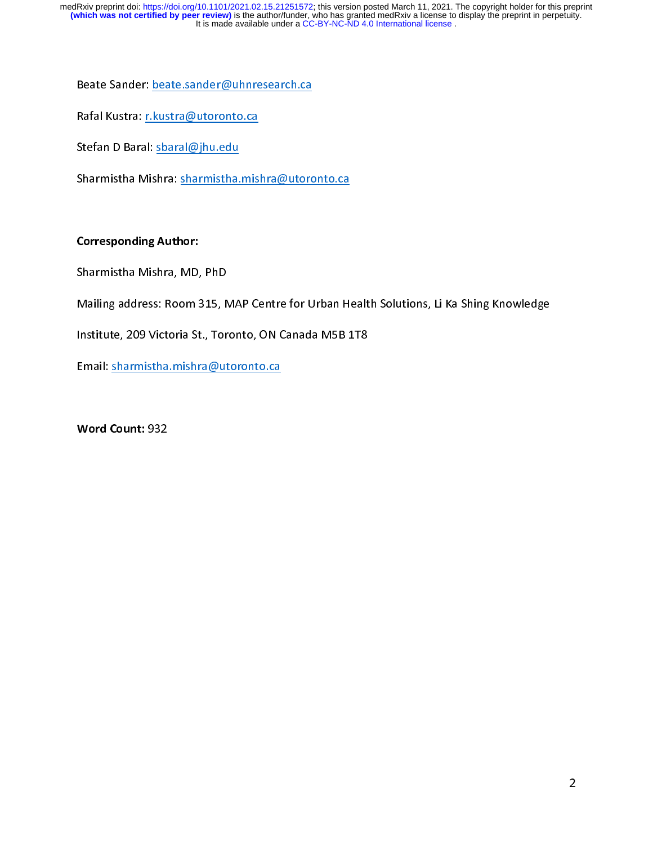$\begin{bmatrix} 1 \\ 2 \end{bmatrix}$ 

Rafal Kustra: <u>r.kustra@utoronto.ca</u><br>Stefan D Baral: <u>sbaral@jhu.edu</u><br>Sharmistha Mishra: <u>sharmistha.mishra@utoro</u> Stefan D Baral: <u>sbaral@jhu.edu</u><br>Sharmistha Mishra: <u>sharmistha.mis</u><br>Corresponding Author: Stefan D Baran <u>Stefan D Jamesa</u><br>Sharmistha Mishra: <u>sharmistha.</u><br>Corresponding Author:<br>Sharmistha Mishra. MD. PhD

## Corresponding Author:

Sharmistha Mishra, MD, PhD<br>Sharmistha Mishra, MD, PhD<br>Mailing address: Room 315. MAP Centre for Urban He Sharmistha Mishra, MD, PhD<br>Mailing address: Room 315, MAP Centre for Urban Health Solutions, Li Ka Shing Knowledge<br>Institute, 209 Victoria St., Toronto, ON Canada M5B 1T8<br>Email: <u>sharmistha.mishra@utoronto.ca</u>

Mailing address: Room 31, Mark Tentre for Urban Health Solution, Link Sing Knowledge<br>Institute, 209 Victoria St., Toronto, ON Canada M5B 1T8<br>Email: <u>sharmistha.mishra@utoronto.ca</u><br>Word Count: 932

Institute, 2008<br>Institute, 2009<br>Institute, 2009<br>Institute, 2009<br>Institute, Toronto, ON Canada March 2009<br>Institute, 2009<br>Institute, 2009<br>Institute, 2009<br>Institute, 2009<br>Institute, 2019<br>Institute, 2019

Email: Sharmistha.com<br>Email: Sharmistha.com<br>Email: Sharmistha.com<br>Autoronto.com  $\overline{a}$ Word Count: 932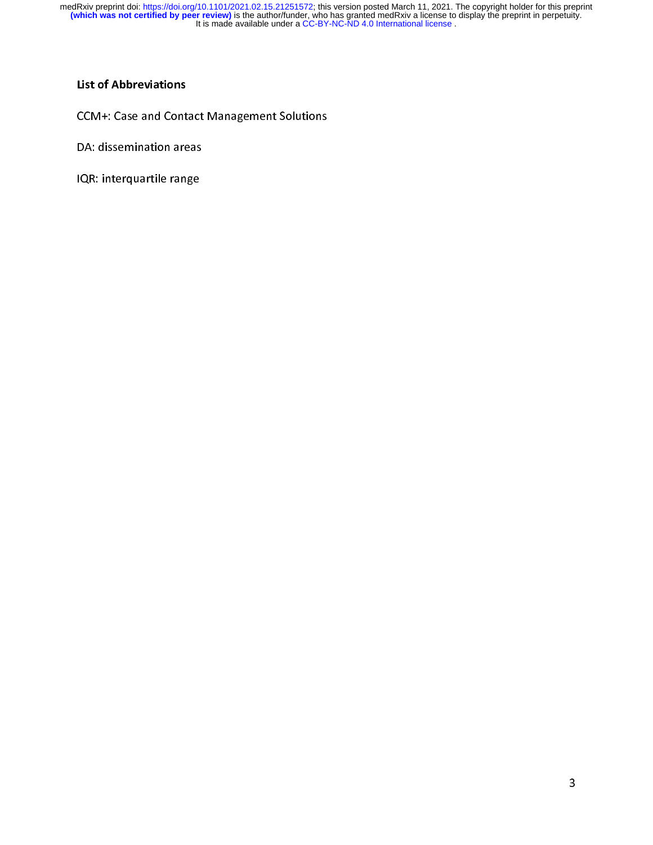# |<br>|<br>| List of Abbreviations

DA: dissemination areas<br>IQR: interquartile range DA: dissemination areas<br>IQR: interquartile range

IQW: interquartile range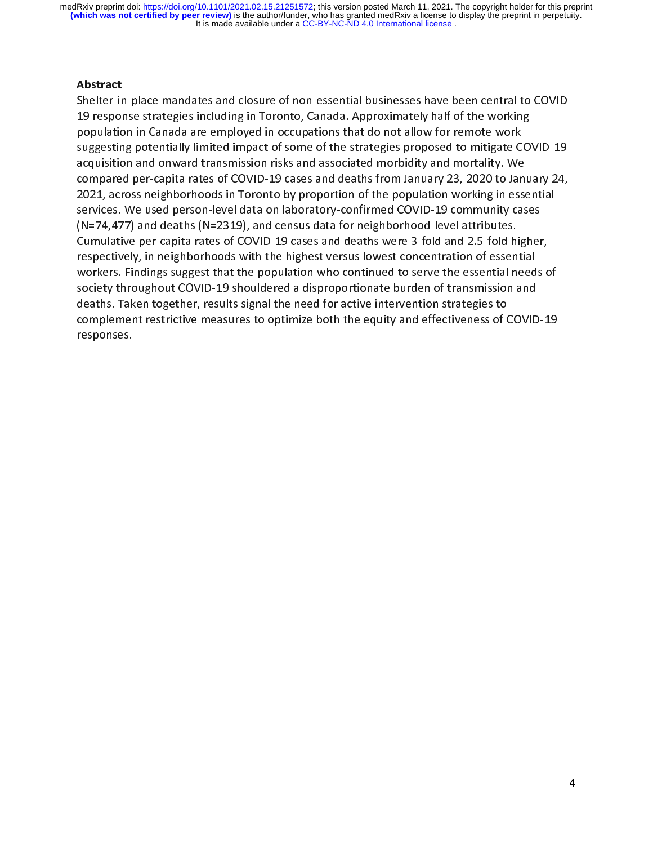*A* </ ・・ 下 vs ( く Abstract<br>Shelter-in-place mandates and closure of non-essential businesses have been central to COVID- $(N=74,477)$  and deaths  $(N=2319)$ , and census data for neighborhood-level attributes. population in Canada are employed in occupations that do not allow for remote work<br>suggesting potentially limited impact of some of the strategies proposed to mitigate CO<br>acquisition and onward transmission risks and assoc population and onward transmission risks and associated morbidity and mortality. We<br>acquisition and onward transmission risks and associated morbidity and mortality. We<br>compared per-capita rates of COVID-19 cases and death suggesting potentially interacting in production and onward transmission risks and associated morbidity and mortality. We<br>compared per-capita rates of COVID-19 cases and deaths from January 23, 2020 to January 24,<br>2021, ac required per-capita rates of COVID-19 cases and deaths from January 23, 2020 to January 20121, across neighborhoods in Toronto by proportion of the population working in essentices. We used person-level data on laboratory-2021, across neighborhoods in Toronto by proportion of the population working in essential<br>services. We used person-level data on laboratory-confirmed COVID-19 community cases<br>(N=74,477) and deaths (N=2319), and census dat Exercices. We used person-level data on laboratory-confirmed COVID-19 community cases<br>(N=74,477) and deaths (N=2319), and census data for neighborhood-level attributes.<br>Cumulative per-capita rates of COVID-19 cases and dea (N=74,477) and deaths (N=2319), and census data for neighborhood-level attributes.<br>Cumulative per-capita rates of COVID-19 cases and deaths were 3-fold and 2.5-fold higher<br>respectively, in neighborhoods with the highest v (Cumulative per-capita rates of COVID-19 cases and deaths were 3-fold and 2.5-fold hirespectively, in neighborhoods with the highest versus lowest concentration of essen workers. Findings suggest that the population who co respectively, in neighborhoods with the highest versus lowest concentration of essential<br>workers. Findings suggest that the population who continued to serve the essential needs c<br>society throughout COVID-19 shouldered a d respectively, in neighborhoods workers. Findings suggest that the population who continued to serve the essential need<br>society throughout COVID-19 shouldered a disproportionate burden of transmission and<br>deaths. Taken toge society throughout COVID-19 shouldered a disproportionate burden of transmission and<br>deaths. Taken together, results signal the need for active intervention strategies to<br>complement restrictive measures to optimize both th deaths. Taken together, results signal the need for active intervention strategies to<br>complement restrictive measures to optimize both the equity and effectiveness of COVID<br>responses.<br>We show the equity and effectiveness o complement restrictive measures to optimize both the equity and effectiveness of (<br>responses. complement responses.<br>Complement restrictive measures to optimize both the effectiveness of COVID-1919<br>COVID-1919 responses.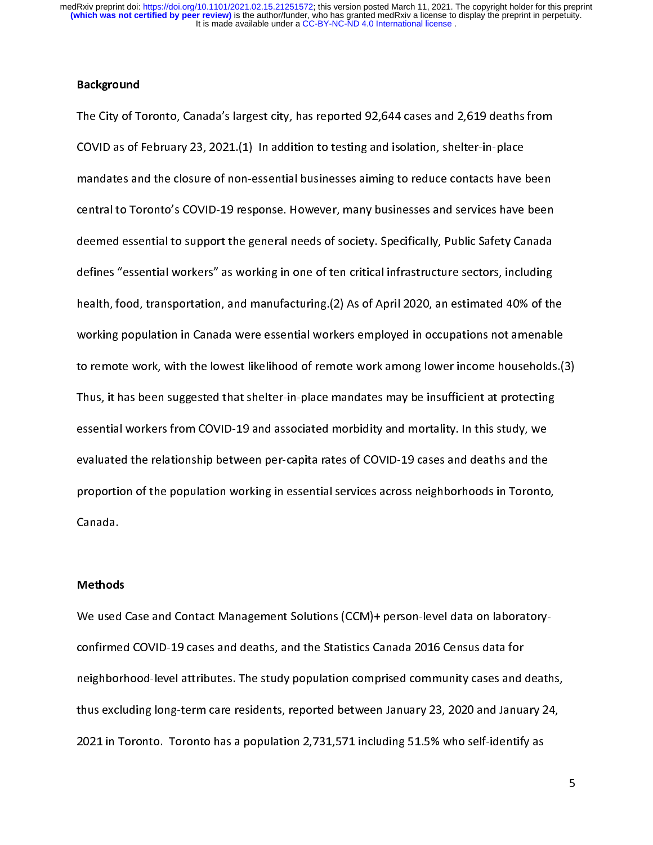#### Background

|<br>|<br>|<br>| The COVID as of February 23, 2021.(1) In addition to testing and isolation, shelter-in-place<br>
mandates and the closure of non-essential businesses aiming to reduce contacts have been<br>
central to Toronto's COVID-19 response COVID and the closure of non-essential businesses aiming to reduce contacts have l<br>Contral to Toronto's COVID-19 response. However, many businesses and services have<br>deemed essential to support the general needs of society central to Toronto's COVID-19 response. However, many businesses and services have been<br>deemed essential to support the general needs of society. Specifically, Public Safety Canada<br>defines "essential workers" as working in central to Toronto's Corrective Corrective Covid-19 response.<br>
deemed essential to support the general needs of society. Specifically, Public Safety Canada<br>
defines "essential workers" as working in one of ten critical inf defines "essential workers" as working in one of ten critical infrastructure sectors, including<br>health, food, transportation, and manufacturing.(2) As of April 2020, an estimated 40% of th<br>working population in Canada were dealth, food, transportation, and manufacturing.(2) As of April 2020, an estimated 40% of th<br>working population in Canada were essential workers employed in occupations not amenabl<br>to remote work, with the lowest likelihoo health, food, transportant in Canada were essential workers employed in occupations not amenable<br>to remote work, with the lowest likelihood of remote work among lower income households.(<br>Thus, it has been suggested that sh to remote work, with the lowest likelihood of remote work among lower income households.<br>
Thus, it has been suggested that shelter-in-place mandates may be insufficient at protecting<br>
essential workers from COVID-19 and as Thus, it has been suggested that shelter-in-place mandates may be insufficient at protecting<br>essential workers from COVID-19 and associated morbidity and mortality. In this study, we<br>evaluated the relationship between per-Thus, it has been suggested that shelter-in-place manufacterin, we intuited at protecting<br>essential workers from COVID-19 and associated morbidity and mortality. In this study, we<br>evaluated the relationship between per-cap essential workers from COVID-19 and associated morbidity and mortality. In this study, we<br>evaluated the relationship between per-capita rates of COVID-19 cases and deaths and the<br>proportion of the population working in ess evaluated the relationship between per-capital values of COVID-19 cases and a seath and the the<br>proportion of the population working in essential services across neighborhoods in Toronto<br>Canada.<br>Methods proportion of the population working in essential services across neighborhoods in Toronto,<br>Canada.<br>We used Case and Contact Management Solutions (CCM)+ person-level data on laboratory-

#### Methods

Canada.<br>Methods<br>We used Case and Contact Management Solutions (CCM)+ person-level data on laboratory-<br>confirmed COVID-19 cases and deaths, and the Statistics Canada 2016 Census data for 2021 in Toronto. Toronto has a population 2,731,571 including 51.5% who self-identify as confirmed COVID-19 cases and about any papel comprised community cases and deaths.<br>The statistics Community cases and deaths, and thus excluding long-term care residents, reported between January 23, 2020 and January<br>2021 thus excluding long-term care residents, reported between January 23, 2020 and January 24,<br>2021 in Toronto. Toronto has a population 2,731,571 including 51.5% who self-identify as  $t_{\text{max}}$  for the residents, reported between  $\text{max}$ ,  $\text{max}$  and  $\text{max}$ ,  $\text{max}$ ,  $\text{max}$ ,  $\text{max}$ ,  $\text{max}$ ,  $\text{max}$ ,  $\text{max}$ ,  $\text{max}$ ,  $\text{max}$ ,  $\text{max}$ ,  $\text{max}$ ,  $\text{max}$ ,  $\text{max}$ ,  $\text{max}$ ,  $\text{max}$ ,  $\text{max}$ ,  $\text{max}$ ,  $2022$  in Toronto has a population  $2,71,72$  including  $31.571$  including  $31.571$  including  $31.571$ 

5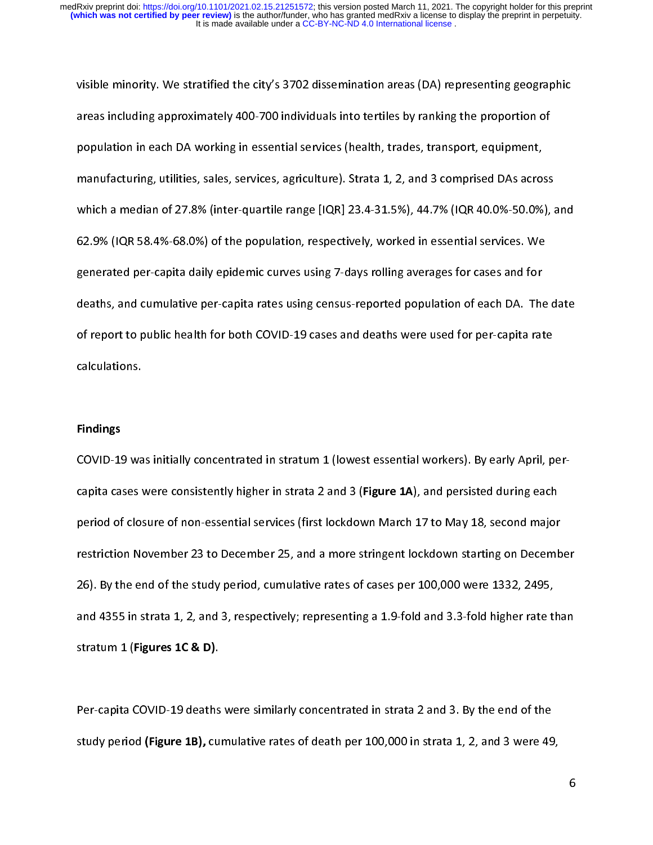\<br>{<br>} areas including approximately 400-700 individuals into tertiles by ranking the proportion of<br>population in each DA working in essential services (health, trades, transport, equipment,<br>manufacturing, utilities, sales, servi population in each DA working in essential services (health, trades, transport, equipment,<br>manufacturing, utilities, sales, services, agriculture). Strata 1, 2, and 3 comprised DAs across<br>which a median of 27.8% (inter-qua population in each DA sales, services, agriculture). Strata 1, 2, and 3 comprised DAs acros<br>manufacturing, utilities, sales, services, agriculture). Strata 1, 2, and 3 comprised DAs acros<br>which a median of 27.8% (inter-qua which a median of 27.8% (inter-quartile range [IQR] 23.4-31.5%), 44.7% (IQR 40.0%-50.0%), and<br>62.9% (IQR 58.4%-68.0%) of the population, respectively, worked in essential services. We<br>generated per-capita daily epidemic cu which a median of 27.8% (inter-quartile range [IQR] 23.4-31.5% (inter-quartile ratio 23.5%), and<br>62.9% (iQR 58.4%-68.0%) of the population, respectively, worked in essential services. We<br>generated per-capita daily epidemic generated per-capita daily epidemic curves using 7-days rolling averages for cases and for<br>deaths, and cumulative per-capita rates using census-reported population of each DA. The<br>of report to public health for both COVIDdeaths, and cumulative per-capita rates using census-reported population of each DA. The<br>of report to public health for both COVID-19 cases and deaths were used for per-capita rat<br>calculations. deaths, and cumulative per-capita rates using central reported population of report to public health for both COVID-19 cases and deaths were used for per-capita rate<br>calculations.<br>Findings calculations.<br>
Findings<br>
COVID-19 was initially concentrated in stratum 1 (lowest essential workers). By early April. p

**Findings<br>COVID-19 wa<br>capita cases v** rmani<sub>gs</sub><br>COVID-19<br>capita ca<br>period of<br>restrictio 26). By the end of the study period, cumulative rates of cases per 100,000 were 1332, 2495, period of closure of non-essential services (first lockdown March 17 to May 18, second major<br>period of closure of non-essential services (first lockdown March 17 to May 18, second major<br>restriction November 23 to December period of November 23 to December 25, and a more stringent lockdown starting on Decemb<br>26). By the end of the study period, cumulative rates of cases per 100,000 were 1332, 2495,<br>and 4355 in strata 1, 2, and 3, respectivel 26). By the end of the study period, cumulative rates of cases per 100,000 were 1332, 2495,<br>and 4355 in strata 1, 2, and 3, respectively; representing a 1.9-fold and 3.3-fold higher rate than<br>stratum 1 (Figures 1C & D). 26). By the stratum 1 (Figures 1C & D).<br>26). By the stratum 1 (Figures 1C & D).<br>26). By the end of the stratum 2 and 3. By the end of the

stratum 1 (Figures 1C & D).<br>Per-capita COVID-19 deaths were similarly concentrated in strata 2 and 3. By the end of the<br>study period (Figure 1B), cumulative rates of death per 100,000 in strata 1, 2, and 3 were 49. stratum 1 (Figures 1C & D).<br>Per-capita COVID-19 deaths<br>study period **(Figure 1B),** cu  $\frac{1}{2}$ Per-capita COVID-19 deaths were similarly concentrated in strata 1 and or  $\gamma$  are end of the end of the end of the end of the end of the end of the end of the end of the end of the end of the end of the end of the end of study period (Figure 1B), cumulative rates of death per 100,000 in strata 1, 2, and 3 were 49,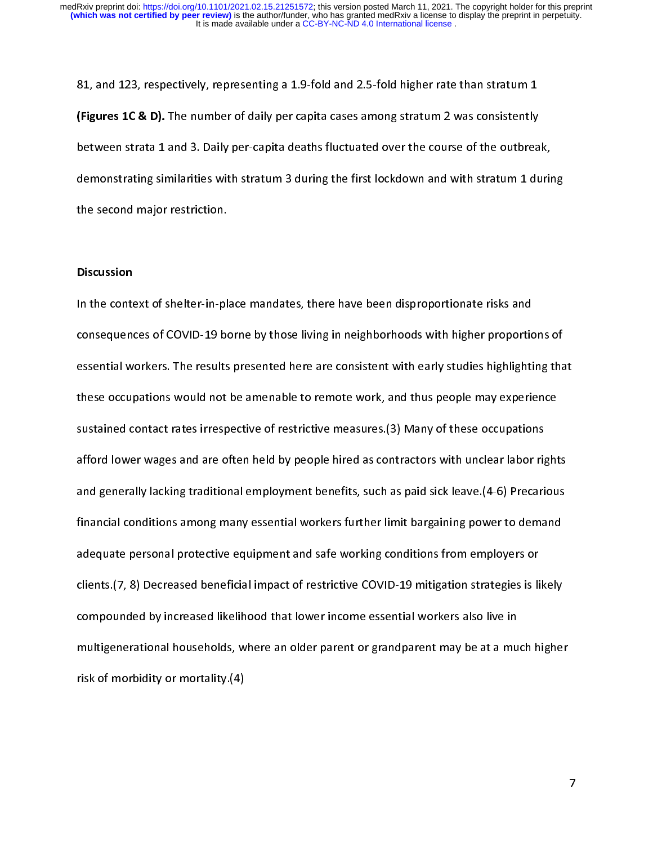}<br>|<br>|} (Figures 1C & D). The number of daily per capita cases among stratum 2 was consistently<br>between strata 1 and 3. Daily per-capita deaths fluctuated over the course of the outbrea<br>demonstrating similarities with stratum 3 du (Figures 1C & D). The number of daily per capita cases among stratum 2 was consistently<br>between strata 1 and 3. Daily per-capita deaths fluctuated over the course of the outbrea<br>demonstrating similarities with stratum 3 du between strata 1 and 3.2 Day to per-capital and course over the course of the course of,<br>demonstrating similarities with stratum 3 during the first lockdown and with stratum 1 durin<br>the second major restriction.<br>Discussion demonstration similarly similar second major restriction.<br>Discussion<br>In the context of shelter-in-place mandates, there have been disproportionate risks and

#### **Discussion**

the second major restriction.<br>Discussion<br>In the context of shelter-in-pla<br>consequences of COVID-19 bo  $\frac{1}{3}$ In the context of COVID-19 borne by those living in neighborhoods with higher proportic<br>In the consequences of COVID-19 borne by those living in neighborhoods with higher proportic<br>In these occupations would not be amenabl essential workers. The results presented here are consistent with early studies highlighting that<br>these occupations would not be amenable to remote work, and thus people may experience<br>sustained contact rates irrespective these occupations would not be amenable to remote work, and thus people may experience<br>sustained contact rates irrespective of restrictive measures. (3) Many of these occupations<br>afford lower wages and are often held by pe these occupations would not be amenable to remote these, you allow people into you, any original sustained contact rates irrespective of restrictive measures.(3) Many of these occupations<br>afford lower wages and are often h afford lower wages and are often held by people hired as contractors with unclear labor rig<br>and generally lacking traditional employment benefits, such as paid sick leave.(4-6) Precari<br>financial conditions among many essen and generally lacking traditional employment benefits, such as paid sick leave. (4-6) Precarious<br>financial conditions among many essential workers further limit bargaining power to demand<br>adequate personal protective equip and generally lacking manufall employment and safe working limit bargaining power to demand<br>adequate personal protective equipment and safe working conditions from employers or<br>clients.(7, 8) Decreased beneficial impact of adequate personal protective equipment and safe working conditions from employers or<br>clients.(7, 8) Decreased beneficial impact of restrictive COVID-19 mitigation strategies is likely<br>compounded by increased likelihood tha and protection protective and safe working conditions from employers of<br>clients.(7, 8) Decreased beneficial impact of restrictive COVID-19 mitigation strategies is li<br>compounded by increased likelihood that lower income es compounded by increased likelihood that lower income essential workers also live in<br>multigenerational households, where an older parent or grandparent may be at a much higher<br>risk of morbidity or mortality.(4) multigenerational households, where an older parent or grandparent may be at a mu<br>risk of morbidity or mortality.(4)<br> multigenerational households, where an older parent or grandparent may be at a multigeneration<br>risk of morbidity or mortality.(4) risk of morbidity or mortality.(4)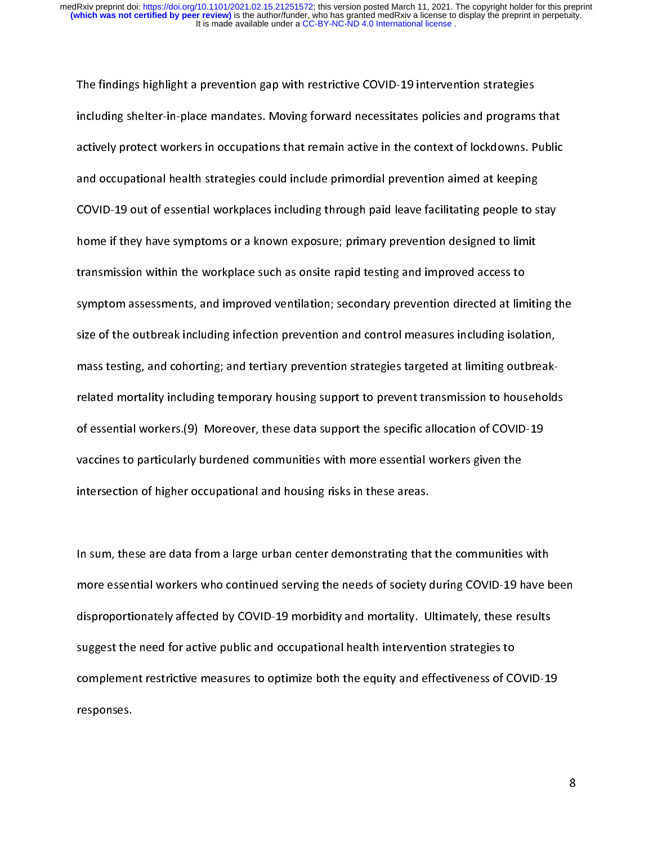ן<br>;<br>; Including shelter-in-place mandates. Moving forward necessitates policies and programs<br>actively protect workers in occupations that remain active in the context of lockdowns. P<br>and occupational health strategies could incl actively protect workers in occupations that remain active in the context of lockdowns. Public<br>and occupational health strategies could include primordial prevention aimed at keeping<br>COVID-19 out of essential workplaces in and occupational health strategies could include primordial prevention aimed at keeping<br>COVID-19 out of essential workplaces including through paid leave facilitating people to stay<br>home if they have symptoms or a known ex cOVID-19 out of essential workplaces including through paid leave facilitating people to s<br>home if they have symptoms or a known exposure; primary prevention designed to limit<br>transmission within the workplace such as onsi COVID-19 out of they have symptoms or a known exposure; primary prevention designed to limit<br>transmission within the workplace such as onsite rapid testing and improved access to<br>symptom assessments, and improved ventilati home in they have symptoms or a known exposure; primary prevention access to<br>transmission within the workplace such as onsite rapid testing and improved access to<br>symptom assessments, and improved ventilation; secondary pr symptom assessments, and improved ventilation; secondary prevention directed at lim<br>size of the outbreak including infection prevention and control measures including isola<br>mass testing, and cohorting; and tertiary prevent size of the outbreak including infection prevention and control measures including isolation,<br>mass testing, and cohorting; and tertiary prevention strategies targeted at limiting outbreak-<br>related mortality including tempo size of the onesting, and cohorting; and tertiary prevention strategies targeted at limiting outbreak-<br>related mortality including temporary housing support to prevent transmission to household<br>of essential workers.(9) Mor intersection of higher occupational and housing risks in these areas. related mortality, including temporary including support the specific allocation of COVID-19<br>vaccines to particularly burdened communities with more essential workers given the<br>intersection of higher occupational and housi vaccines to particularly burdened communities with more essential workers given the<br>intersection of higher occupational and housing risks in these areas.<br>In sum, these are data from a large urban center demonstrating that

vacuate to particularly a material communities with more essential workers given intersection of higher occupational and housing risks in these areas.<br>In sum, these are data from a large urban center demonstrating that the intersection of higher occupations and housing risk in these areas.<br>In sum, these are data from a large urban center demonstrating that<br>more essential workers who continued serving the needs of society of<br>disproportionatel In sum, these are data from a large urban center demonstrating that the communities with<br>more essential workers who continued serving the needs of society during COVID-19 have been<br>disproportionately affected by COVID-19 m disproportionately affected by COVID-19 morbidity and mortality. Ultimately, these results<br>suggest the need for active public and occupational health intervention strategies to<br>complement restrictive measures to optimize b suggest the need for active public and occupational health intervention strategies to<br>complement restrictive measures to optimize both the equity and effectiveness of COVID-19<br>responses. suggest the need for active public and occupational health intervention strategies to<br>complement restrictive measures to optimize both the equity and effectiveness of CC<br>responses. complement responses.<br>Complement responses of  $C$  optimize both the effectiveness of  $C$   $\mathcal{C}$  of  $C$ responses.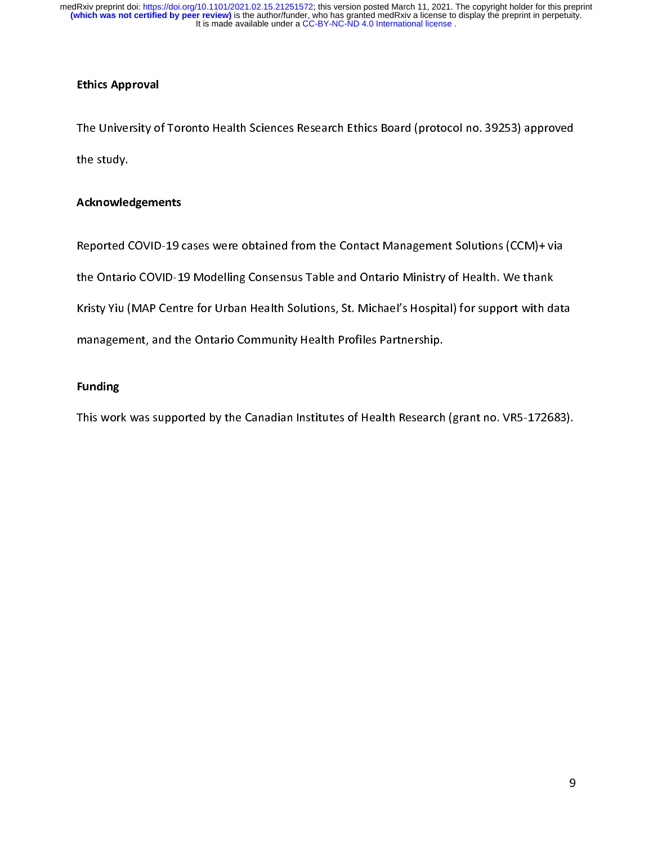## Ethics Approval

|<br>|<br>| The Study.<br>The Study.<br>Acknowledgements<br>Reported COVID-19 cases were obtained from the Contact Management Solutions (CCM)+ via

## Acknowledgements

,<br>Acknowled<br>Reported C<br>the Ontario Reported COVID-19 Modelling Consensus Table and Ontario Ministry of Health. We thank<br>Kristy Yiu (MAP Centre for Urban Health Solutions, St. Michael's Hospital) for support with data<br>management, and the Ontario Community He Kristy Yiu (MAP Centre for Urban Health Solutions, St. Michael's Hospital) for support with da<br>management, and the Ontario Community Health Profiles Partnership.<br>Funding Kristy Yiu (Mark Solutions) Sham Health Solutions, St. Michael's Hospital, Colompic Link Mark<br>Than Map Centre for Urban Health Solutions, St. Michael<br>This work was supported by the Canadian Institutes of Health Research (g

## Funding

Funding<br>This work was supported by the Canadian Institutes of Health Research  $\frac{1}{2}$ This work was supported by the Canadian Institutes of Health Research (grant no. VR5-1726 $\mu$ ).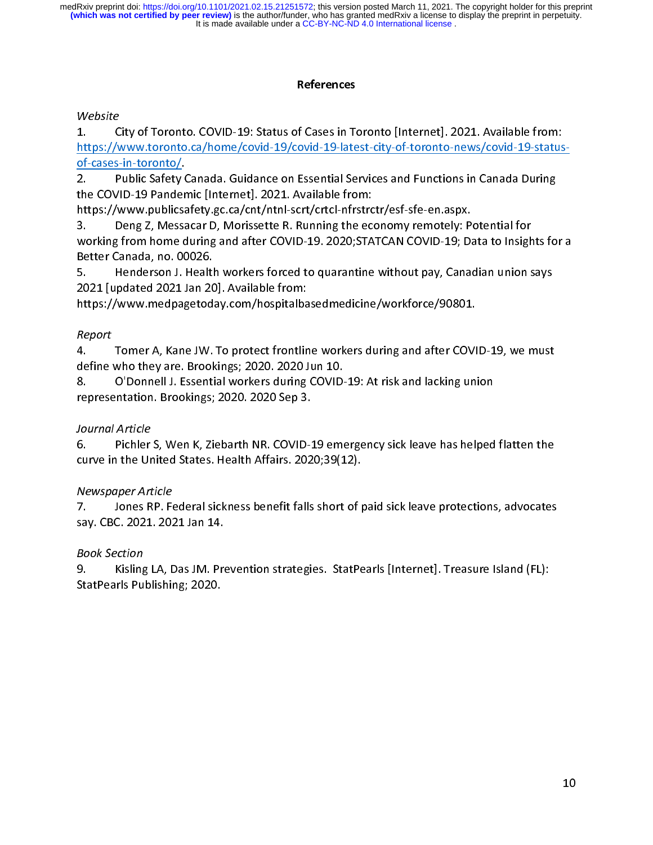## References

## $\overline{a}$

 $\frac{1}{2}$ Website

https://www.toronto.ca/home/covid-19/covid-19-latest-city-of-toronto-news/covid-19-status<br>
of-cases-in-toronto/.<br>
2. Public Safety Canada. Guidance on Essential Services and Functions in Canada During<br>
the COVID-19 Pandemi of-cases-in-toronto/. the COVID-19 Pandemic [Internet]. 2021. Available from:<br>
https://www.publicsafety.gc.ca/cnt/ntnl-scrt/crtcl-nfrstrctr/esf-sfe-en.aspx.<br>
3. Deng Z, Messacar D, Morissette R. Running the economy remotely: Potential for<br>
work The Covid-Ministry (Microsofty-Tool Attps://www.publicsafety.gc.ca/cnt/ntnl-scrt/crtcl-nfrstrc<br>3. Deng Z, Messacar D, Morissette R. Running the econorking from home during and after COVID-19. 2020;STA<br>Better Canada, no. 00 https://www.parametary.gc.ca/com/minimatedy.com/publicsations.<br>3. Deng Z, Messacar D, Morissette R. Running the economy remotely: Previoring from home during and after COVID-19. 2020;STATCAN COVID-19; Da<br>Better Canada, no. 3. Working from home during and after COVID-19. 2020;STATCAN COVID-19; Data to Insigh<br>Better Canada, no. 00026.<br>5. Henderson J. Health workers forced to quarantine without pay, Canadian union s<br>2021 [updated 2021 Jan 20].

5. Henderson J. Health workers forced to quarantine without pay, Canadian union says working from home during and after the during and after Canada, no. 00026.<br>
5. Henderson J. Health workers forced to quarantine without pay, Canadian union says<br>
2021 [updated 2021 Jan 20]. Available from:<br>
https://www.med

## Report

Better Canada, March Chealt<br>
2021 [updated 2021 Jan 20<br>
https://www.medpagetod<br>
Report<br>
4. Tomer A, Kane JW.<br>
define who they are. Brook<br>
8. O'Donnell J. Essenti 2021 [updated 2021 Jan 20]. Available from:<br>https://www.medpagetoday.com/hospitalbasedmedicine/workforce/90801.<br>Report<br>4. Tomer A, Kane JW. To protect frontline workers during and after COVID-19, we must<br>define who t https://www.medpagetoday.com/hospitalba<br>
Report<br>
4. Tomer A, Kane JW. To protect frontlir<br>
define who they are. Brookings; 2020. 2020 J<br>
8. O'Donnell J. Essential workers during<br>
representation. Brookings; 2020. 2020 Sep 3 https://www.medpagetoday.com/hospital-primate entreminity (1911-19) except<br>Report<br>4. Tomer A, Kane JW. To protect frontline workers during and after COVI<br>define who they are. Brookings; 2020. 2020 Jun 10.<br>8. O'Donnell J. E | ノ<br>| ム<br>| C S r

define who they are. Brookings; 2020. 2020 Jun 10.<br>
8. O'Donnell J. Essential workers during COVID-19: At risk and lacking union<br>
representation. Brookings; 2020. 2020 Sep 3.<br>
Journal Article<br>
6. Pichler S, Wen K, Ziebarth 8. O'Donnell J. Essential workers during COVID-<br>representation. Brookings; 2020. 2020 Sep 3.<br>Journal Article<br>6. Pichler S, Wen K, Ziebarth NR. COVID-19 emerative in the United States. Health Affairs. 2020;39(1)<br>Newspaper A 8. O'Donnell J. Essential workers during COVID-19: At risk and lacking union<br>representation. Brookings; 2020. 2020 Sep 3.<br>Journal Article<br>6. Pichler S, Wen K, Ziebarth NR. COVID-19 emergency sick leave has helped<br>curve in Ferentation. Brookings; 2021.2021.<br>
Journal Article<br>
6. Pichler S, Wen K, Ziebarth NR. COVID-1<br>
curve in the United States. Health Affairs. 202<br>
Newspaper Article<br>
7. Jones RP. Federal sickness benefit falls<br>
say. CBC. 202 し (<br>(<br>- 7<br>- 7 Journal Article<br>6. Pichler S, Wen K, Ziebarth NR. COVID-19 emergency sick leave has helped flatten the

France in the United States. Health Affairs. 2020;39(12).<br> *Newspaper Article*<br>
7. Jones RP. Federal sickness benefit falls short of paid sick leave protections, advocates<br>
say. CBC. 2021. 2021 Jan 14.<br> *Book Section*<br>
9. Curve in the United States. Health Affairs. 2021, 2021<br>
7. Jones RP. Federal sickness benefit falls short of p<br>
say. CBC. 2021. 2021 Jan 14.<br> *Book Section*<br>
9. Kisling LA, Das JM. Prevention strategies. StatPe<br>
StatPearls リー・ミー しょく Newspaper Article<br>7. Shones RP. Federal sickness benefit falls short of paid sick leave protections, advocates

5ay. CBC. 2021. 2021 Jan 14.<br>Book Section<br>9. Kisling LA, Das JM. Prevention strategies. StatPearls [Internet]. Treasure Island (FL):<br>StatPearls Publishing; 2020. say. CBC. 2021. 2021 Jan 14.  $\frac{1}{2}$ Book Section<br>9. Kisling LA, Das JM. Prevention strategies. StatPearls [Internet]. Treasure Island (FL): 9. StatPearls Publishing; 2020. StatPearls Publishing; 2020.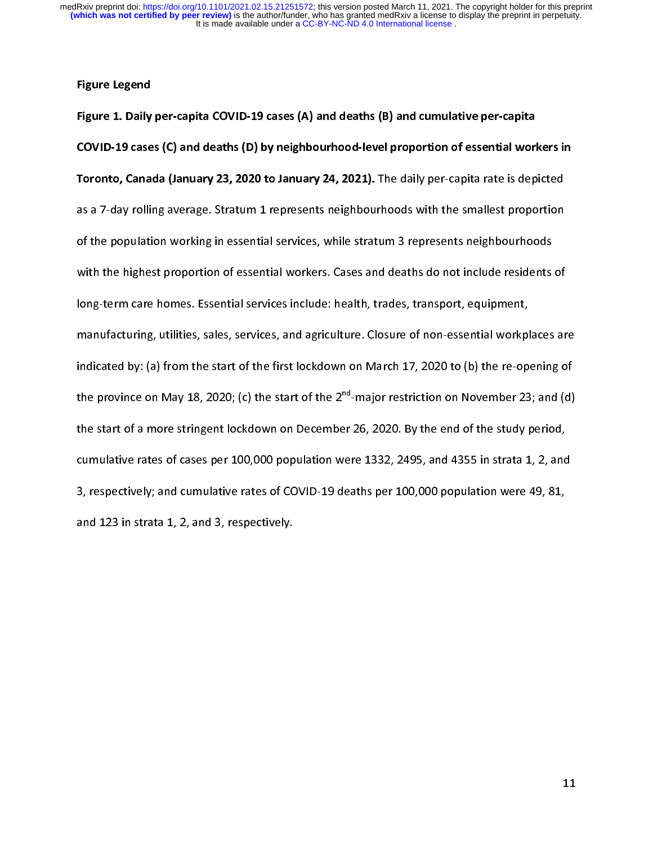#### Figure Legend

|<br>|<br>|<br>| l Figure 1. Daily per-capita COVID-19 cases (A) and deaths (B) and cumulative per-capita COVID-19 cases (C) and deaths (D) by neighbourhood-level proportion of essential workers in Toronto, Canada (January 23, 2020 to January 24, 2021). The daily per-capita rate is depicted<br>as a 7-day rolling average. Stratum 1 represents neighbourhoods with the smallest proportion<br>of the population working in essent as a 7-day rolling average. Stratum 1 represents neighbourhoods with the smallest proportion<br>of the population working in essential services, while stratum 3 represents neighbourhoods<br>with the highest proportion of essenti of the population terms in essential workers. Cases and deaths do not include residents<br>long-term care homes. Essential services include: health, trades, transport, equipment,<br>manufacturing, utilities, sales, services, and long-term care homes. Essential services include: health, trades, transport, equipment,<br>manufacturing, utilities, sales, services, and agriculture. Closure of non-essential workplaces ar<br>indicated by: (a) from the start o manufacturing, utilities, sales, services, and agriculture. Closure of non-essential workpl<br>indicated by: (a) from the start of the first lockdown on March 17, 2020 to (b) the re-op<br>the province on May 18, 2020; (c) the s indicated by: (a) from the start of the first lockdown on March 17, 2020 to (b) the re-opening of<br>the province on May 18, 2020; (c) the start of the  $2^{nd}$ -major restriction on November 23; and (d)<br>the start of a more str the province on May 18, 2020; (c) the start of the  $2^{nd}$ -major restriction on November 23; and (d)<br>the start of a more stringent lockdown on December 26, 2020. By the end of the study period,<br>cumulative rates of cases pe the province on May 18, 2020; (c) the start of the 2""-major restriction on November 23; and (d)<br>the start of a more stringent lockdown on December 26, 2020. By the end of the study period,<br>cumulative rates of cases per 10 cumulative rates of cases per 100,000 population were 1332, 2495, and 4355 in strata 1, 2, and<br>3, respectively; and cumulative rates of COVID-19 deaths per 100,000 population were 49, 81,<br>and 123 in strata 1, 2, and 3, re cumulative rates of cases per 100,000 population were 49, 81,<br>3, respectively; and cumulative rates of COVID-19 deaths per 100,000 population were 49, 81,<br>and 123 in strata 1, 2, and 3, respectively. and 123 in strata 1, 2, and 3, respectively. and 123 in strata 1, 2, and 3, respectively.